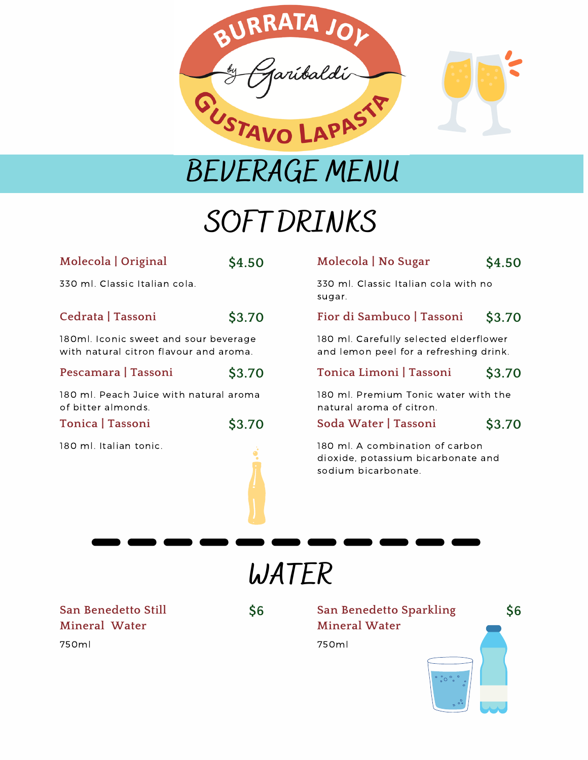

**BEVERAGE MENU**

## **SOFT DRINKS**

| Molecola   Original                                                             | \$4.50 |
|---------------------------------------------------------------------------------|--------|
| 330 ml. Classic Italian cola.                                                   |        |
| Cedrata   Tassoni                                                               | \$3.70 |
| 180ml. Iconic sweet and sour beverage<br>with natural citron flavour and aroma. |        |
| Pescamara   Tassoni                                                             | \$3.70 |
| 180 ml. Peach Juice with natural aroma<br>of bitter almonds.                    |        |
| Tonica   Tassoni                                                                | \$3.70 |
| 180 ml. Italian tonic.                                                          |        |

### **Molecola | No Sugar \$4.50**

330 ml. Classic Italian cola with no sugar.

#### **Fior di Sambuco | Tassoni \$3.70**

180 ml. Carefully selected elderflower and lemon peel for a refreshing drink.

#### **Tonica Limoni | Tassoni \$3.70**

180 ml. Premium Tonic water with the natural aroma of citron.

**Soda Water | Tassoni \$3.70**

180 ml. A combination of carbon dioxide, potassium bicarbonate and sodium bicarbonate.

**WATER**

**San Benedetto Still Mineral Water** 750ml

**\$6**

**San Benedetto Sparkling \$6 Mineral Water** 750ml  $\degree{\circ}$